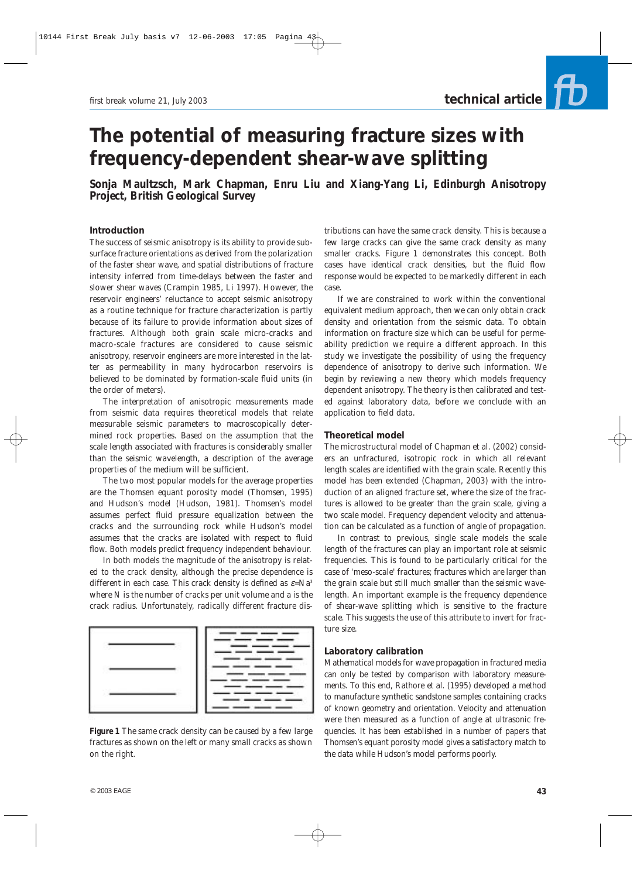# **The potential of measuring fracture sizes with frequency-dependent shear-wave splitting**

**Sonja Maultzsch, Mark Chapman, Enru Liu and Xiang-Yang Li, Edinburgh Anisotropy Project, British Geological Survey**

## **Introduction**

The success of seismic anisotropy is its ability to provide subsurface fracture orientations as derived from the polarization of the faster shear wave, and spatial distributions of fracture intensity inferred from time-delays between the faster and slower shear waves (Crampin 1985, Li 1997). However, the reservoir engineers' reluctance to accept seismic anisotropy as a routine technique for fracture characterization is partly because of its failure to provide information about sizes of fractures. Although both grain scale micro-cracks and macro-scale fractures are considered to cause seismic anisotropy, reservoir engineers are more interested in the latter as permeability in many hydrocarbon reservoirs is believed to be dominated by formation-scale fluid units (in the order of meters).

The interpretation of anisotropic measurements made from seismic data requires theoretical models that relate measurable seismic parameters to macroscopically determined rock properties. Based on the assumption that the scale length associated with fractures is considerably smaller than the seismic wavelength, a description of the average properties of the medium will be sufficient.

The two most popular models for the average properties are the Thomsen equant porosity model (Thomsen, 1995) and Hudson's model (Hudson, 1981). Thomsen's model assumes perfect fluid pressure equalization between the cracks and the surrounding rock while Hudson's model assumes that the cracks are isolated with respect to fluid flow. Both models predict frequency independent behaviour.

In both models the magnitude of the anisotropy is related to the crack density, although the precise dependence is different in each case. This crack density is defined as ε*=Na3* where N is the number of cracks per unit volume and *a* is the crack radius. Unfortunately, radically different fracture dis-



**Figure 1** *The same crack density can be caused by a few large fractures as shown on the left or many small cracks as shown on the right.*

tributions can have the same crack density. This is because a few large cracks can give the same crack density as many smaller cracks. Figure 1 demonstrates this concept. Both cases have identical crack densities, but the fluid flow response would be expected to be markedly different in each case.

If we are constrained to work within the conventional equivalent medium approach, then we can only obtain crack density and orientation from the seismic data. To obtain information on fracture size which can be useful for permeability prediction we require a different approach. In this study we investigate the possibility of using the frequency dependence of anisotropy to derive such information. We begin by reviewing a new theory which models frequency dependent anisotropy. The theory is then calibrated and tested against laboratory data, before we conclude with an application to field data.

## **Theoretical model**

The microstructural model of Chapman et al. (2002) considers an unfractured, isotropic rock in which all relevant length scales are identified with the grain scale. Recently this model has been extended (Chapman, 2003) with the introduction of an aligned fracture set, where the size of the fractures is allowed to be greater than the grain scale, giving a two scale model. Frequency dependent velocity and attenuation can be calculated as a function of angle of propagation.

In contrast to previous, single scale models the scale length of the fractures can play an important role at seismic frequencies. This is found to be particularly critical for the case of 'meso-scale' fractures; fractures which are larger than the grain scale but still much smaller than the seismic wavelength. An important example is the frequency dependence of shear-wave splitting which is sensitive to the fracture scale. This suggests the use of this attribute to invert for fracture size.

### **Laboratory calibration**

Mathematical models for wave propagation in fractured media can only be tested by comparison with laboratory measurements. To this end, Rathore et al. (1995) developed a method to manufacture synthetic sandstone samples containing cracks of known geometry and orientation. Velocity and attenuation were then measured as a function of angle at ultrasonic frequencies. It has been established in a number of papers that Thomsen's equant porosity model gives a satisfactory match to the data while Hudson's model performs poorly.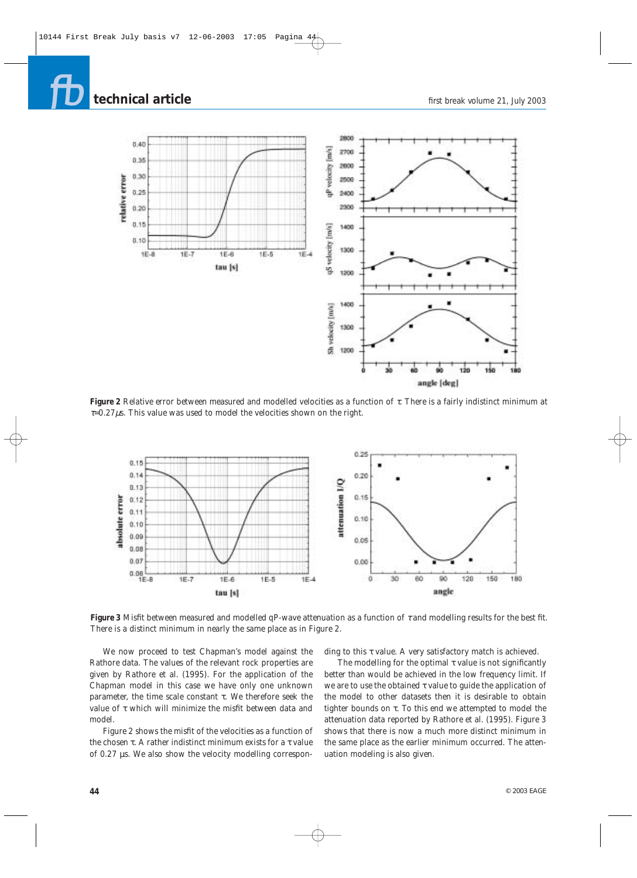# **technical article**



**Figure 2** *Relative error between measured and modelled velocities as a function of* τ*. There is a fairly indistinct minimum at* <sup>τ</sup>*=0.27*µ*s. This value was used to model the velocities shown on the right.*



**Figure 3** *Misfit between measured and modelled qP-wave attenuation as a function of* <sup>τ</sup> *and modelling results for the best fit. There is a distinct minimum in nearly the same place as in Figure 2.*

We now proceed to test Chapman's model against the Rathore data. The values of the relevant rock properties are given by Rathore et al. (1995). For the application of the Chapman model in this case we have only one unknown parameter, the time scale constant τ. We therefore seek the value of τ which will minimize the misfit between data and model.

Figure 2 shows the misfit of the velocities as a function of the chosen τ. A rather indistinct minimum exists for a τ value of 0.27 µs. We also show the velocity modelling corresponding to this τ value. A very satisfactory match is achieved.

The modelling for the optimal  $\tau$  value is not significantly better than would be achieved in the low frequency limit. If we are to use the obtained τ value to guide the application of the model to other datasets then it is desirable to obtain tighter bounds on τ. To this end we attempted to model the attenuation data reported by Rathore et al. (1995). Figure 3 shows that there is now a much more distinct minimum in the same place as the earlier minimum occurred. The attenuation modeling is also given.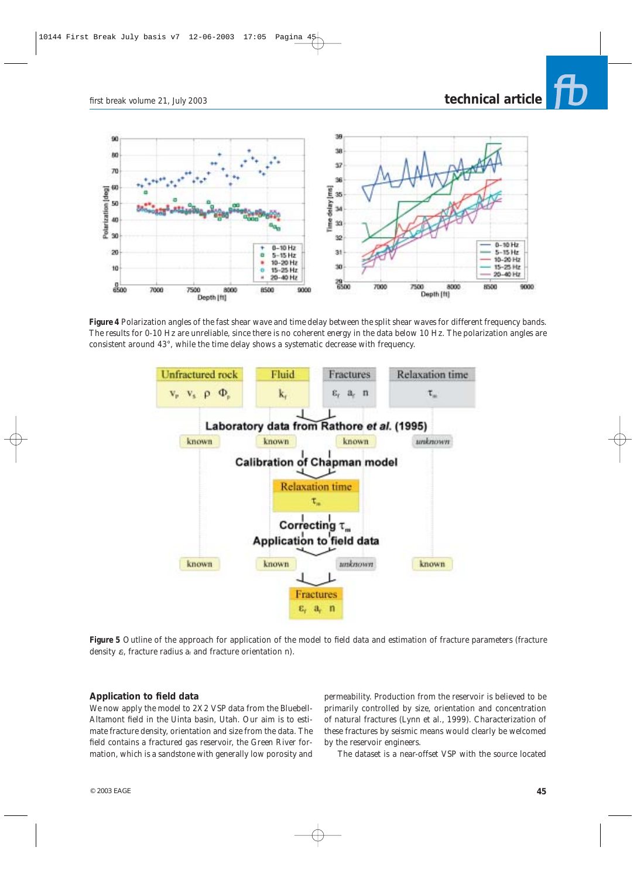*first break* volume 21, July 2003

## **technical article**



**Figure 4** *Polarization angles of the fast shear wave and time delay between the split shear waves for different frequency bands. The results for 0-10 Hz are unreliable, since there is no coherent energy in the data below 10 Hz. The polarization angles are consistent around 43°, while the time delay shows a systematic decrease with frequency.*



**Figure 5** *Outline of the approach for application of the model to field data and estimation of fracture parameters (fracture density* ε*f, fracture radius af and fracture orientation n).*

## **Application to field data**

We now apply the model to 2X2 VSP data from the Bluebell-Altamont field in the Uinta basin, Utah. Our aim is to estimate fracture density, orientation and size from the data. The field contains a fractured gas reservoir, the Green River formation, which is a sandstone with generally low porosity and

permeability. Production from the reservoir is believed to be primarily controlled by size, orientation and concentration of natural fractures (Lynn et al., 1999). Characterization of these fractures by seismic means would clearly be welcomed by the reservoir engineers.

The dataset is a near-offset VSP with the source located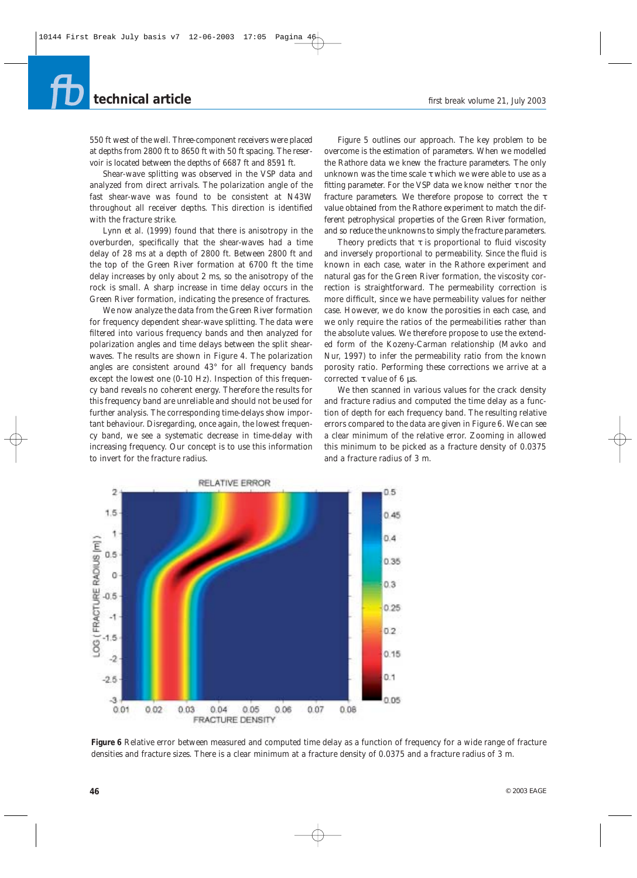## **technical article**

550 ft west of the well. Three-component receivers were placed at depths from 2800 ft to 8650 ft with 50 ft spacing. The reservoir is located between the depths of 6687 ft and 8591 ft.

Shear-wave splitting was observed in the VSP data and analyzed from direct arrivals. The polarization angle of the fast shear-wave was found to be consistent at N43W throughout all receiver depths. This direction is identified with the fracture strike.

Lynn et al. (1999) found that there is anisotropy in the overburden, specifically that the shear-waves had a time delay of 28 ms at a depth of 2800 ft. Between 2800 ft and the top of the Green River formation at 6700 ft the time delay increases by only about 2 ms, so the anisotropy of the rock is small. A sharp increase in time delay occurs in the Green River formation, indicating the presence of fractures.

We now analyze the data from the Green River formation for frequency dependent shear-wave splitting. The data were filtered into various frequency bands and then analyzed for polarization angles and time delays between the split shearwaves. The results are shown in Figure 4. The polarization angles are consistent around 43° for all frequency bands except the lowest one (0-10 Hz). Inspection of this frequency band reveals no coherent energy. Therefore the results for this frequency band are unreliable and should not be used for further analysis. The corresponding time-delays show important behaviour. Disregarding, once again, the lowest frequency band, we see a systematic decrease in time-delay with increasing frequency. Our concept is to use this information to invert for the fracture radius.

Figure 5 outlines our approach. The key problem to be overcome is the estimation of parameters. When we modelled the Rathore data we knew the fracture parameters. The only unknown was the time scale  $\tau$  which we were able to use as a fitting parameter. For the VSP data we know neither τ nor the fracture parameters. We therefore propose to correct the τ value obtained from the Rathore experiment to match the different petrophysical properties of the Green River formation, and so reduce the unknowns to simply the fracture parameters.

Theory predicts that  $\tau$  is proportional to fluid viscosity and inversely proportional to permeability. Since the fluid is known in each case, water in the Rathore experiment and natural gas for the Green River formation, the viscosity correction is straightforward. The permeability correction is more difficult, since we have permeability values for neither case. However, we do know the porosities in each case, and we only require the ratios of the permeabilities rather than the absolute values. We therefore propose to use the extended form of the Kozeny-Carman relationship (Mavko and Nur, 1997) to infer the permeability ratio from the known porosity ratio. Performing these corrections we arrive at a corrected τ value of 6 μs.

We then scanned in various values for the crack density and fracture radius and computed the time delay as a function of depth for each frequency band. The resulting relative errors compared to the data are given in Figure 6. We can see a clear minimum of the relative error. Zooming in allowed this minimum to be picked as a fracture density of 0.0375 and a fracture radius of 3 m.



**Figure 6** *Relative error between measured and computed time delay as a function of frequency for a wide range of fracture densities and fracture sizes. There is a clear minimum at a fracture density of 0.0375 and a fracture radius of 3 m.*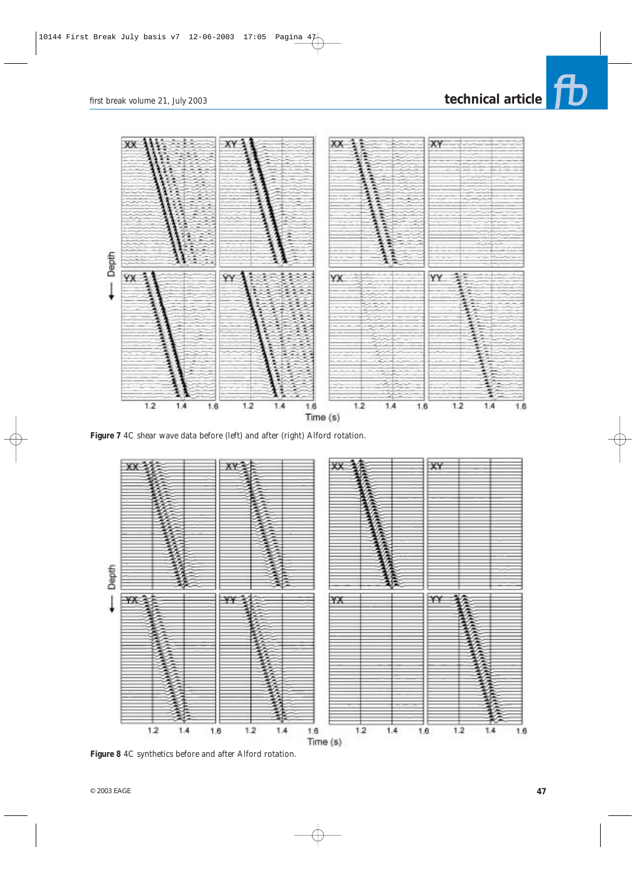# *first break* volume 21, July 2003 **technical article**





**Figure 7** *4C shear wave data before (left) and after (right) Alford rotation.*



**Figure 8** *4C synthetics before and after Alford rotation.*

 $\circ$  2003 EAGE **47**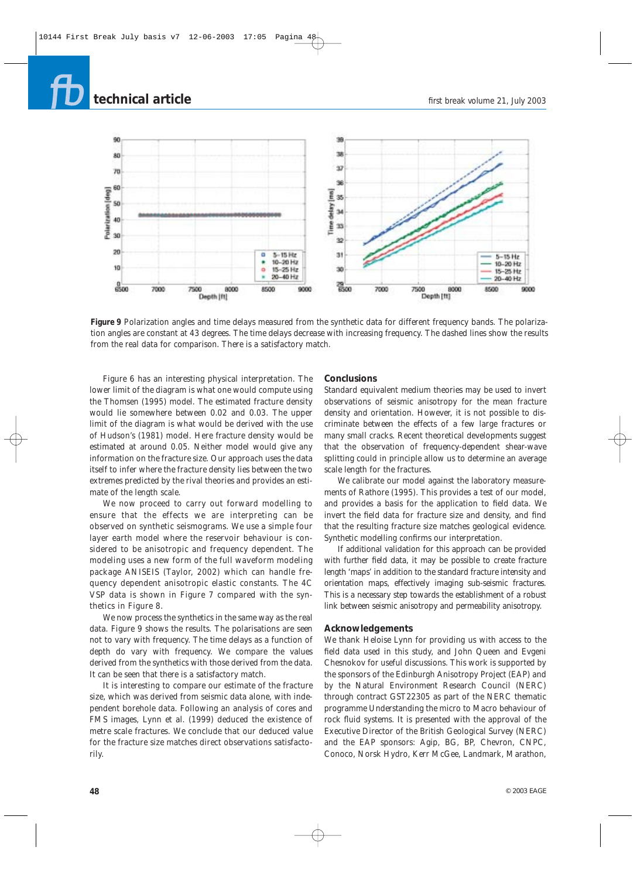## **technical article**



**Figure 9** *Polarization angles and time delays measured from the synthetic data for different frequency bands. The polarization angles are constant at 43 degrees. The time delays decrease with increasing frequency. The dashed lines show the results from the real data for comparison. There is a satisfactory match.*

Figure 6 has an interesting physical interpretation. The lower limit of the diagram is what one would compute using the Thomsen (1995) model. The estimated fracture density would lie somewhere between 0.02 and 0.03. The upper limit of the diagram is what would be derived with the use of Hudson's (1981) model. Here fracture density would be estimated at around 0.05. Neither model would give any information on the fracture size. Our approach uses the data itself to infer where the fracture density lies between the two extremes predicted by the rival theories and provides an estimate of the length scale.

We now proceed to carry out forward modelling to ensure that the effects we are interpreting can be observed on synthetic seismograms. We use a simple four layer earth model where the reservoir behaviour is considered to be anisotropic and frequency dependent. The modeling uses a new form of the full waveform modeling package ANISEIS (Taylor, 2002) which can handle frequency dependent anisotropic elastic constants. The 4C VSP data is shown in Figure 7 compared with the synthetics in Figure 8.

We now process the synthetics in the same way as the real data. Figure 9 shows the results. The polarisations are seen not to vary with frequency. The time delays as a function of depth do vary with frequency. We compare the values derived from the synthetics with those derived from the data. It can be seen that there is a satisfactory match.

It is interesting to compare our estimate of the fracture size, which was derived from seismic data alone, with independent borehole data. Following an analysis of cores and FMS images, Lynn et al. (1999) deduced the existence of metre scale fractures. We conclude that our deduced value for the fracture size matches direct observations satisfactorily.

### **Conclusions**

Standard equivalent medium theories may be used to invert observations of seismic anisotropy for the mean fracture density and orientation. However, it is not possible to discriminate between the effects of a few large fractures or many small cracks. Recent theoretical developments suggest that the observation of frequency-dependent shear-wave splitting could in principle allow us to determine an average scale length for the fractures.

We calibrate our model against the laboratory measurements of Rathore (1995). This provides a test of our model, and provides a basis for the application to field data. We invert the field data for fracture size and density, and find that the resulting fracture size matches geological evidence. Synthetic modelling confirms our interpretation.

If additional validation for this approach can be provided with further field data, it may be possible to create fracture length 'maps' in addition to the standard fracture intensity and orientation maps, effectively imaging sub-seismic fractures. This is a necessary step towards the establishment of a robust link between seismic anisotropy and permeability anisotropy.

### **Acknowledgements**

We thank Heloise Lynn for providing us with access to the field data used in this study, and John Queen and Evgeni Chesnokov for useful discussions. This work is supported by the sponsors of the Edinburgh Anisotropy Project (EAP) and by the Natural Environment Research Council (NERC) through contract GST22305 as part of the NERC thematic programme *Understanding the micro to Macro behaviour of rock fluid systems*. It is presented with the approval of the Executive Director of the British Geological Survey (NERC) and the EAP sponsors: Agip, BG, BP, Chevron, CNPC, Conoco, Norsk Hydro, Kerr McGee, Landmark, Marathon,